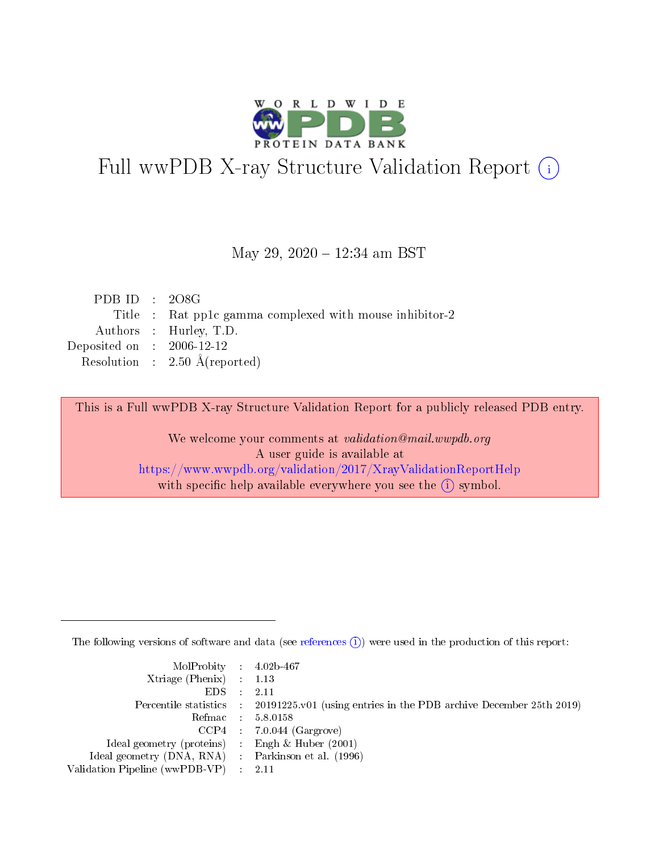

# Full wwPDB X-ray Structure Validation Report (i)

### May 29, 2020 - 12:34 am BST

| PDB ID : $208G$             |                                                         |
|-----------------------------|---------------------------------------------------------|
|                             | Title : Rat pp1c gamma complexed with mouse inhibitor-2 |
|                             | Authors : Hurley, T.D.                                  |
| Deposited on : $2006-12-12$ |                                                         |
|                             | Resolution : $2.50 \text{ Å}$ (reported)                |
|                             |                                                         |

This is a Full wwPDB X-ray Structure Validation Report for a publicly released PDB entry.

We welcome your comments at validation@mail.wwpdb.org A user guide is available at <https://www.wwpdb.org/validation/2017/XrayValidationReportHelp> with specific help available everywhere you see the  $(i)$  symbol.

The following versions of software and data (see [references](https://www.wwpdb.org/validation/2017/XrayValidationReportHelp#references)  $(i)$ ) were used in the production of this report:

| MolProbity : $4.02b-467$                            |                                                                                            |
|-----------------------------------------------------|--------------------------------------------------------------------------------------------|
| Xtriage (Phenix) $: 1.13$                           |                                                                                            |
| EDS                                                 | 2.11                                                                                       |
|                                                     | Percentile statistics : 20191225.v01 (using entries in the PDB archive December 25th 2019) |
| Refmac                                              | 5.8.0158                                                                                   |
|                                                     | $CCP4$ 7.0.044 (Gargrove)                                                                  |
| Ideal geometry (proteins) : Engh $\&$ Huber (2001)  |                                                                                            |
| Ideal geometry (DNA, RNA) : Parkinson et al. (1996) |                                                                                            |
| Validation Pipeline (wwPDB-VP)                      | -2.11                                                                                      |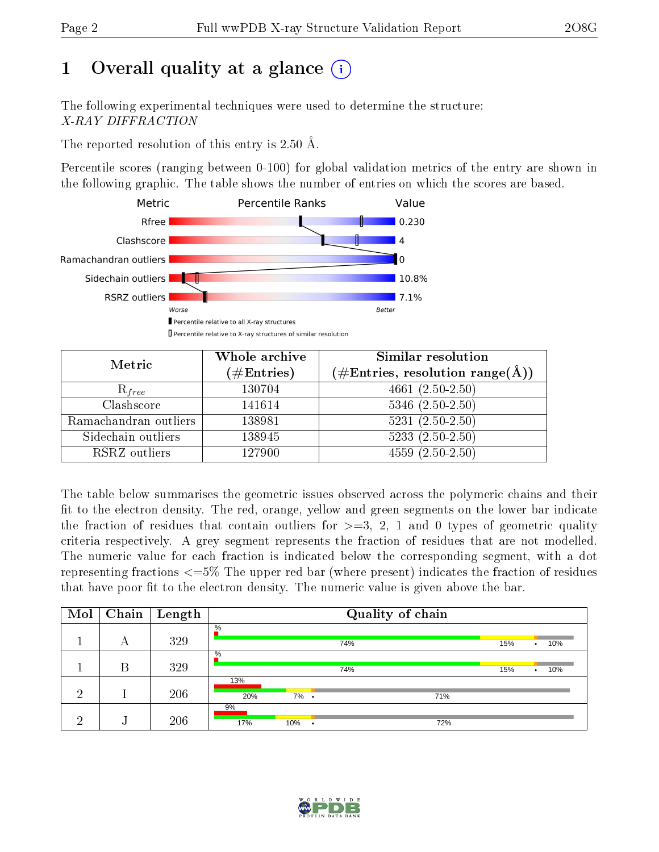# 1 [O](https://www.wwpdb.org/validation/2017/XrayValidationReportHelp#overall_quality)verall quality at a glance  $(i)$

The following experimental techniques were used to determine the structure: X-RAY DIFFRACTION

The reported resolution of this entry is 2.50 Å.

Percentile scores (ranging between 0-100) for global validation metrics of the entry are shown in the following graphic. The table shows the number of entries on which the scores are based.



| Metric                | Whole archive        | Similar resolution                                                     |
|-----------------------|----------------------|------------------------------------------------------------------------|
|                       | $(\#\text{Entries})$ | $(\#\text{Entries},\,\text{resolution}\,\,\text{range}(\textup{\AA}))$ |
| $R_{free}$            | 130704               | $4661(2.50-2.50)$                                                      |
| Clashscore            | 141614               | $5346$ $(2.50-2.50)$                                                   |
| Ramachandran outliers | 138981               | $5231 (2.50 - 2.50)$                                                   |
| Sidechain outliers    | 138945               | $5233(2.50-2.50)$                                                      |
| RSRZ outliers         | 127900               | $4559(2.50-2.50)$                                                      |

The table below summarises the geometric issues observed across the polymeric chains and their fit to the electron density. The red, orange, yellow and green segments on the lower bar indicate the fraction of residues that contain outliers for  $>=$  3, 2, 1 and 0 types of geometric quality criteria respectively. A grey segment represents the fraction of residues that are not modelled. The numeric value for each fraction is indicated below the corresponding segment, with a dot representing fractions  $\epsilon=5\%$  The upper red bar (where present) indicates the fraction of residues that have poor fit to the electron density. The numeric value is given above the bar.

| Mol | Chain | Length |                 |         | Quality of chain |                         |
|-----|-------|--------|-----------------|---------|------------------|-------------------------|
|     | А     | 329    | $\overline{\%}$ |         | 74%              | 15%<br>10%<br>$\bullet$ |
|     | B     | 329    | $\%$            |         | 74%              | 15%<br>10%<br>٠         |
| റ   |       | 206    | 13%<br>20%      | $7\%$ . | 71%              |                         |
| ച   | ٠J    | 206    | 9%<br>17%       | 10%     | 72%              |                         |

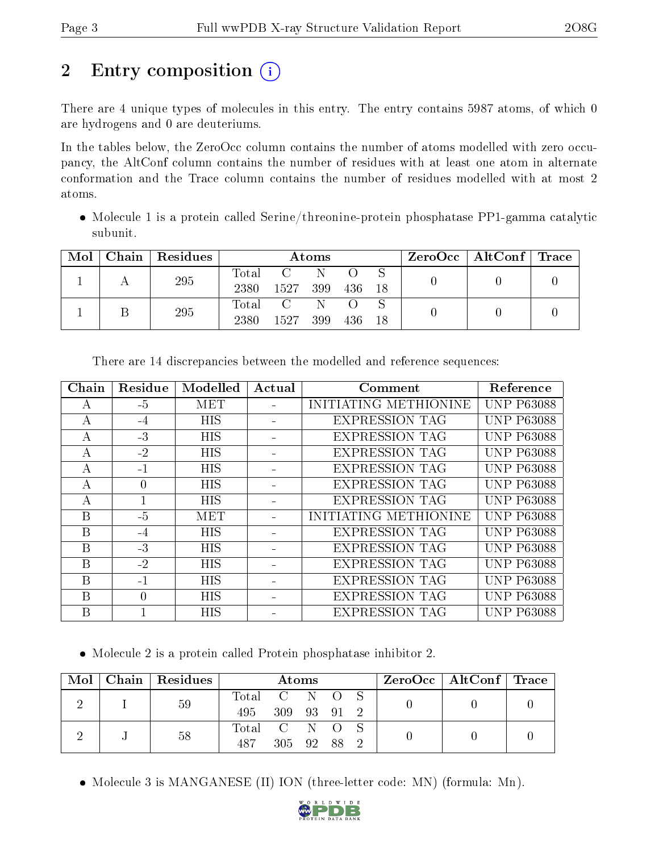# 2 Entry composition  $\left( \cdot \right)$

There are 4 unique types of molecules in this entry. The entry contains 5987 atoms, of which 0 are hydrogens and 0 are deuteriums.

In the tables below, the ZeroOcc column contains the number of atoms modelled with zero occupancy, the AltConf column contains the number of residues with at least one atom in alternate conformation and the Trace column contains the number of residues modelled with at most 2 atoms.

 $\bullet$  Molecule 1 is a protein called Serine/threonine-protein phosphatase PP1-gamma catalytic subunit.

| Mol | Chain   Residues | Atoms               |                                                             |          |      | $\text{ZeroOcc} \mid \text{AltConf} \mid \text{Trace}$ |  |  |
|-----|------------------|---------------------|-------------------------------------------------------------|----------|------|--------------------------------------------------------|--|--|
|     | 295              | $\rm Total$<br>2380 | 1527 399                                                    | N        | -436 |                                                        |  |  |
|     | 295              | Total<br>2380       | $\overline{\mathbf{C}}$ and $\overline{\mathbf{C}}$<br>1527 | N<br>399 | 436  | -18                                                    |  |  |

| Chain        | Residue      | Modelled   | Actual | Comment               | Reference         |
|--------------|--------------|------------|--------|-----------------------|-------------------|
| А            | $-5$         | <b>MET</b> |        | INITIATING METHIONINE | <b>UNP P63088</b> |
| А            | -4           | <b>HIS</b> |        | <b>EXPRESSION TAG</b> | <b>UNP P63088</b> |
| $\mathsf{A}$ | $-3$         | <b>HIS</b> |        | <b>EXPRESSION TAG</b> | <b>UNP P63088</b> |
| $\mathbf{A}$ | $-2$         | <b>HIS</b> |        | <b>EXPRESSION TAG</b> | <b>UNP P63088</b> |
| А            | $-1$         | <b>HIS</b> |        | <b>EXPRESSION TAG</b> | <b>UNP P63088</b> |
| А            | $\theta$     | <b>HIS</b> |        | <b>EXPRESSION TAG</b> | <b>UNP P63088</b> |
| A            | $\mathbf{1}$ | <b>HIS</b> |        | <b>EXPRESSION TAG</b> | <b>UNP P63088</b> |
| B            | $-5$         | <b>MET</b> |        | INITIATING METHIONINE | <b>UNP P63088</b> |
| B            | -4           | HIS        |        | <b>EXPRESSION TAG</b> | <b>UNP P63088</b> |
| B            | $-3$         | <b>HIS</b> |        | <b>EXPRESSION TAG</b> | <b>UNP P63088</b> |
| В            | $-2$         | HIS        |        | <b>EXPRESSION TAG</b> | <b>UNP P63088</b> |
| B            | -1           | <b>HIS</b> |        | <b>EXPRESSION TAG</b> | <b>UNP P63088</b> |
| B            | $\Omega$     | <b>HIS</b> |        | <b>EXPRESSION TAG</b> | <b>UNP P63088</b> |
| B            |              | <b>HIS</b> |        | <b>EXPRESSION TAG</b> | <b>UNP P63088</b> |

There are 14 discrepancies between the modelled and reference sequences:

Molecule 2 is a protein called Protein phosphatase inhibitor 2.

|  |  | $\text{Mol}$   Chain   Residues | <b>Atoms</b>  |             |  |  | $\text{ZeroOcc} \mid \text{AltConf} \mid \text{Trace}$ |  |  |
|--|--|---------------------------------|---------------|-------------|--|--|--------------------------------------------------------|--|--|
|  |  | 59                              | Total C N O S |             |  |  |                                                        |  |  |
|  |  |                                 | 495           | 309 93 91 2 |  |  |                                                        |  |  |
|  |  | 58                              | Total C N O S |             |  |  |                                                        |  |  |
|  |  | 487                             | 305 92 88     |             |  |  |                                                        |  |  |

• Molecule 3 is MANGANESE (II) ION (three-letter code: MN) (formula: Mn).

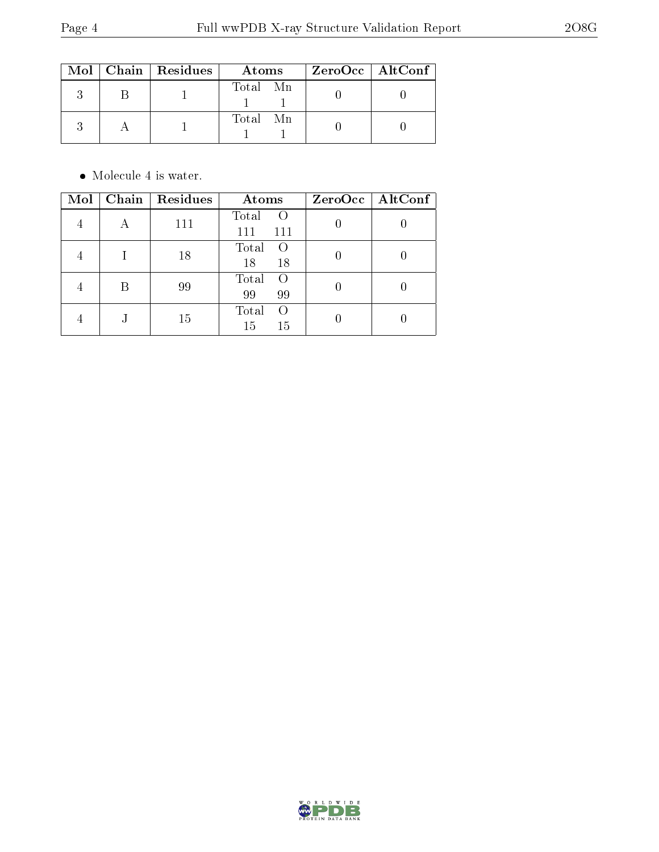|  | $\text{Mol}$   Chain   Residues | Atoms          | $ZeroOcc$   AltConf |
|--|---------------------------------|----------------|---------------------|
|  |                                 | Total Mn       |                     |
|  |                                 | Total<br>– M n |                     |

 $\bullet\,$  Molecule 4 is water.

| Mol | Chain   Residues | Atoms                                 | ZeroOcc   AltConf |
|-----|------------------|---------------------------------------|-------------------|
|     | 111              | Total<br>$\bigcirc$<br>111<br>111     |                   |
|     | 18               | Total<br>$\left($<br>18<br>18         |                   |
|     | 99               | Total<br>$\left( \right)$<br>99<br>99 |                   |
|     | 15               | Total<br>$\left( \right)$<br>15<br>15 |                   |

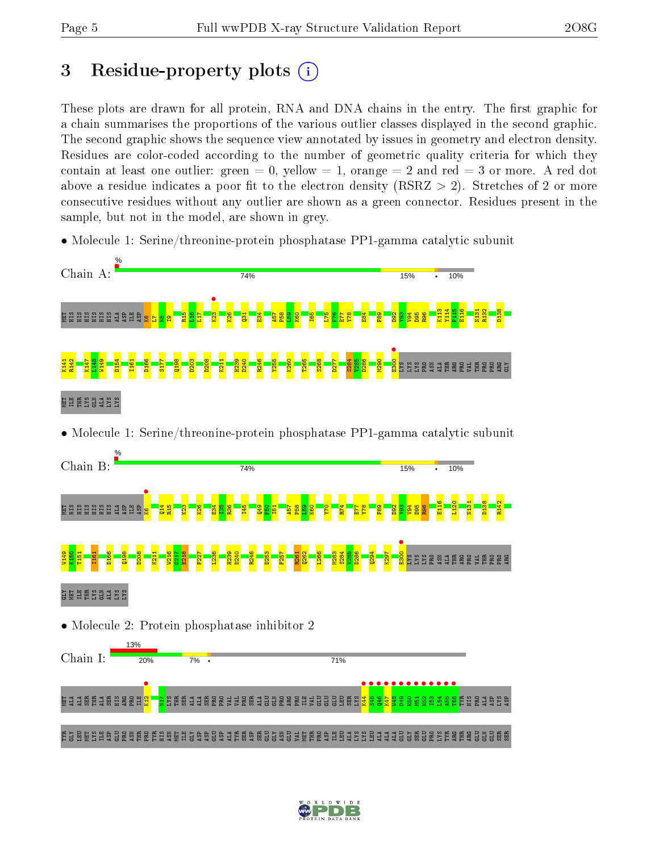# 3 Residue-property plots  $(i)$

These plots are drawn for all protein, RNA and DNA chains in the entry. The first graphic for a chain summarises the proportions of the various outlier classes displayed in the second graphic. The second graphic shows the sequence view annotated by issues in geometry and electron density. Residues are color-coded according to the number of geometric quality criteria for which they contain at least one outlier: green  $= 0$ , yellow  $= 1$ , orange  $= 2$  and red  $= 3$  or more. A red dot above a residue indicates a poor fit to the electron density (RSRZ  $> 2$ ). Stretches of 2 or more consecutive residues without any outlier are shown as a green connector. Residues present in the sample, but not in the model, are shown in grey.

• Molecule 1: Serine/threonine-protein phosphatase PP1-gamma catalytic subunit



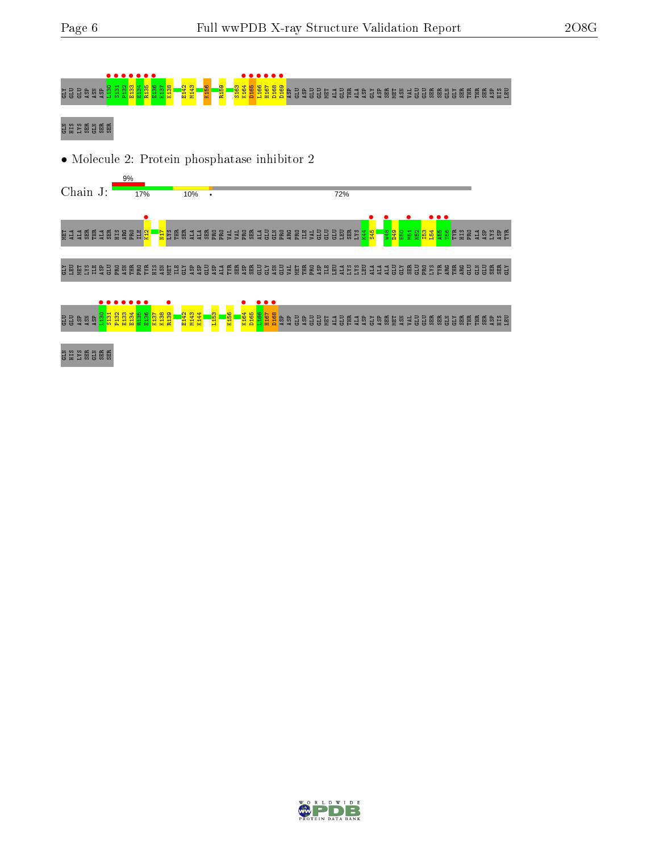

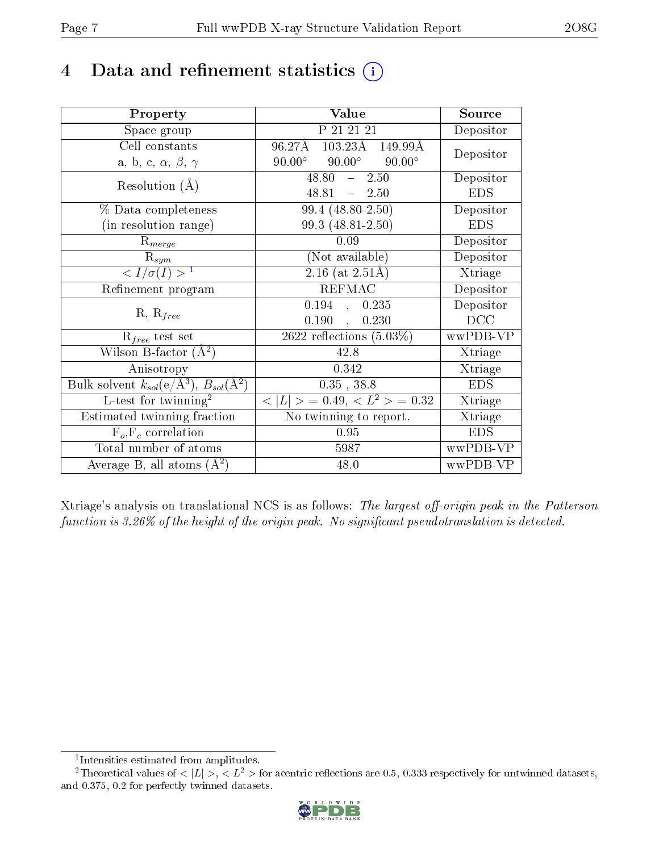# 4 Data and refinement statistics  $(i)$

| Property                                                         | Value                                             | Source     |
|------------------------------------------------------------------|---------------------------------------------------|------------|
| Space group                                                      | P 21 21 21                                        | Depositor  |
| Cell constants                                                   | $103.23\text{\AA}$ 149.99 Å<br>96.27Å             | Depositor  |
| a, b, c, $\alpha$ , $\beta$ , $\gamma$                           | $90.00^\circ$<br>$90.00^\circ$<br>$90.00^{\circ}$ |            |
| Resolution $(A)$                                                 | $48.80 - 2.50$                                    | Depositor  |
|                                                                  | $48.81 - 2.50$                                    | <b>EDS</b> |
| % Data completeness                                              | 99.4 (48.80-2.50)                                 | Depositor  |
| (in resolution range)                                            | 99.3 (48.81-2.50)                                 | <b>EDS</b> |
| $R_{merge}$                                                      | 0.09                                              | Depositor  |
| $\mathrm{R}_{sym}$                                               | (Not available)                                   | Depositor  |
| $\langle I/\sigma(I) \rangle^{-1}$                               | $\sqrt{2.16 \text{ (at } 2.51 \text{\AA})}$       | Xtriage    |
| Refinement program                                               | <b>REFMAC</b>                                     | Depositor  |
|                                                                  | 0.194, 0.235                                      | Depositor  |
| $R, R_{free}$                                                    | 0.190,<br>0.230                                   | DCC        |
| $R_{free}$ test set                                              | 2622 reflections $(5.03\%)$                       | wwPDB-VP   |
| Wilson B-factor $(A^2)$                                          | 42.8                                              | Xtriage    |
| Anisotropy                                                       | 0.342                                             | Xtriage    |
| Bulk solvent $k_{sol}(\text{e}/\text{A}^3), B_{sol}(\text{A}^2)$ | $0.35$ , 38.8                                     | <b>EDS</b> |
| L-test for $\mathrm{twinning}^2$                                 | $< L >$ = 0.49, $< L2$ > = 0.32                   | Xtriage    |
| Estimated twinning fraction                                      | No twinning to report.                            | Xtriage    |
| $\overline{F_o}, \overline{F_c}$ correlation                     | 0.95                                              | <b>EDS</b> |
| Total number of atoms                                            | 5987                                              | wwPDB-VP   |
| Average B, all atoms $(A^2)$                                     | 48.0                                              | wwPDB-VP   |

Xtriage's analysis on translational NCS is as follows: The largest off-origin peak in the Patterson function is  $3.26\%$  of the height of the origin peak. No significant pseudotranslation is detected.

<sup>&</sup>lt;sup>2</sup>Theoretical values of  $\langle |L| \rangle$ ,  $\langle L^2 \rangle$  for acentric reflections are 0.5, 0.333 respectively for untwinned datasets, and 0.375, 0.2 for perfectly twinned datasets.



<span id="page-6-1"></span><span id="page-6-0"></span><sup>1</sup> Intensities estimated from amplitudes.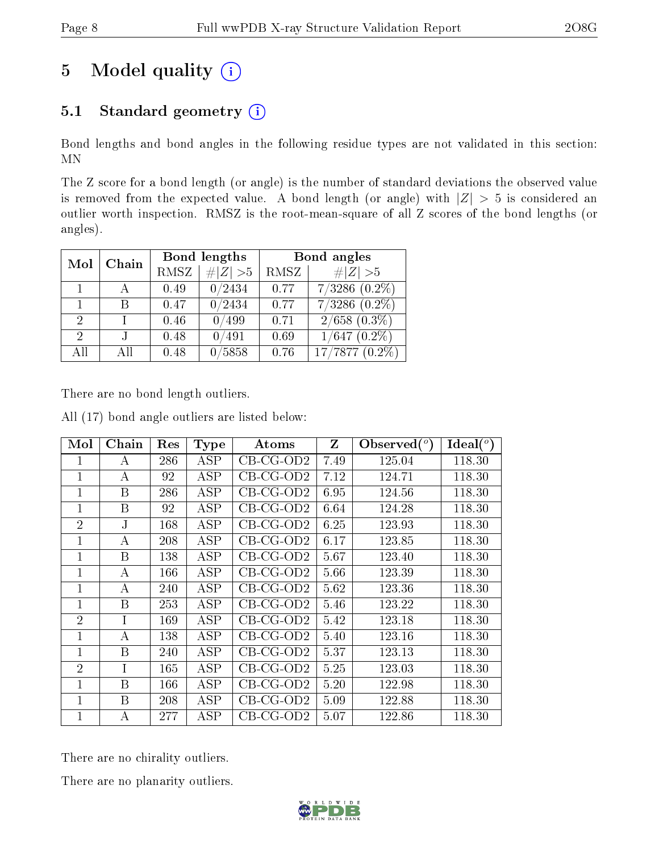# 5 Model quality  $(i)$

# 5.1 Standard geometry  $(i)$

Bond lengths and bond angles in the following residue types are not validated in this section: MN

The Z score for a bond length (or angle) is the number of standard deviations the observed value is removed from the expected value. A bond length (or angle) with  $|Z| > 5$  is considered an outlier worth inspection. RMSZ is the root-mean-square of all Z scores of the bond lengths (or angles).

|                             | Chain |             | Bond lengths | Bond angles |                    |  |
|-----------------------------|-------|-------------|--------------|-------------|--------------------|--|
| Mol                         |       | <b>RMSZ</b> | $\# Z  > 5$  | RMSZ        | $\ Z\  > 5$        |  |
|                             |       | 0.49        | 0/2434       | 0.77        | $7/3286$ $(0.2\%)$ |  |
|                             | В     | 0.47        | 0/2434       | 0.77        | $7/3286(0.2\%)$    |  |
| 2                           |       | 0.46        | 0/499        | 0.71        | $2/658$ $(0.3\%)$  |  |
| $\mathcal{D}_{\mathcal{A}}$ |       | 0.48        | 0/491        | 0.69        | $1/647$ $(0.2\%)$  |  |
| AH                          | Αll   | 0.48        | 5858         | 0.76        | $17/7877(0.2\%)$   |  |

There are no bond length outliers.

All (17) bond angle outliers are listed below:

| Mol            | Chain | Res | <b>Type</b> | Atoms       | Z    | Observed $(^\circ)$ | Ideal $(^\circ)$ |
|----------------|-------|-----|-------------|-------------|------|---------------------|------------------|
| 1              | A     | 286 | ASP         | $CB-CG-OD2$ | 7.49 | 125.04              | 118.30           |
| $\mathbf 1$    | А     | 92  | ASP         | $CB-CG-OD2$ | 7.12 | 124.71              | 118.30           |
| $\mathbf 1$    | B     | 286 | ASP         | $CB-CG-OD2$ | 6.95 | 124.56              | 118.30           |
| $\mathbf{1}$   | B     | 92  | ASP         | $CB-CG-OD2$ | 6.64 | 124.28              | 118.30           |
| $\overline{2}$ | J.    | 168 | ASP         | $CB-CG-OD2$ | 6.25 | 123.93              | 118.30           |
| $\mathbf 1$    | А     | 208 | ASP         | $CB-CG-OD2$ | 6.17 | 123.85              | 118.30           |
| $\mathbf{1}$   | B     | 138 | ASP         | $CB-CG-OD2$ | 5.67 | 123.40              | 118.30           |
| $\mathbf 1$    | A     | 166 | ASP         | $CB-CG-OD2$ | 5.66 | 123.39              | 118.30           |
| $\mathbf{1}$   | A     | 240 | ASP         | $CB-CG-OD2$ | 5.62 | 123.36              | 118.30           |
| 1              | B     | 253 | ASP         | $CB-CG-OD2$ | 5.46 | 123.22              | 118.30           |
| $\overline{2}$ | I     | 169 | <b>ASP</b>  | $CB-CG-OD2$ | 5.42 | 123.18              | 118.30           |
| 1              | А     | 138 | ASP         | $CB-CG-OD2$ | 5.40 | 123.16              | 118.30           |
| $\mathbf 1$    | B     | 240 | ASP         | $CB-CG-OD2$ | 5.37 | 123.13              | 118.30           |
| $\overline{2}$ | Ι     | 165 | ASP         | $CB-CG-OD2$ | 5.25 | 123.03              | 118.30           |
| $\mathbf 1$    | B     | 166 | ASP         | $CB-CG-OD2$ | 5.20 | 122.98              | 118.30           |
| $\mathbf{1}$   | B     | 208 | ASP         | $CB-CG-OD2$ | 5.09 | 122.88              | 118.30           |
| $\mathbf{1}$   | А     | 277 | ASP         | $CB-CG-OD2$ | 5.07 | 122.86              | 118.30           |

There are no chirality outliers.

There are no planarity outliers.

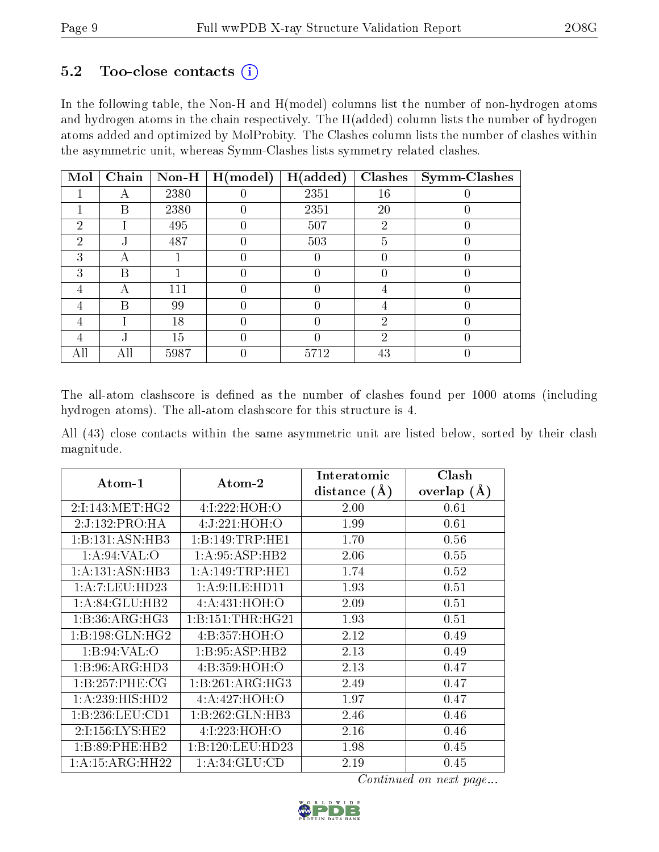### $5.2$  Too-close contacts  $(i)$

In the following table, the Non-H and H(model) columns list the number of non-hydrogen atoms and hydrogen atoms in the chain respectively. The H(added) column lists the number of hydrogen atoms added and optimized by MolProbity. The Clashes column lists the number of clashes within the asymmetric unit, whereas Symm-Clashes lists symmetry related clashes.

| Mol            | Chain | $Non-H$ | H (model) | H(added) | <b>Clashes</b> | <b>Symm-Clashes</b> |
|----------------|-------|---------|-----------|----------|----------------|---------------------|
|                | А     | 2380    |           | 2351     | 16             |                     |
|                | Β     | 2380    |           | 2351     | 20             |                     |
| 2              |       | 495     |           | 507      | $\overline{2}$ |                     |
| $\overline{2}$ | . І   | 487     | 0         | 503      | 5              |                     |
| 3              | А     |         |           |          |                |                     |
| 3              | В     |         |           |          |                |                     |
| 4              | А     | 111     |           |          |                |                     |
| 4              | В     | 99      |           |          |                |                     |
| 4              |       | 18      |           |          | $\overline{2}$ |                     |
| 4              | ٠,    | 15      |           |          | 2              |                     |
| All            | All   | 5987    |           | 5712     | 43             |                     |

The all-atom clashscore is defined as the number of clashes found per 1000 atoms (including hydrogen atoms). The all-atom clashscore for this structure is 4.

All (43) close contacts within the same asymmetric unit are listed below, sorted by their clash magnitude.

| Atom-1              | Atom-2            | Interatomic    | Clash         |
|---------------------|-------------------|----------------|---------------|
|                     |                   | distance $(A)$ | overlap $(A)$ |
| 2:1:143:MET:HG2     | 4:I:222:HOH:O     | 2.00           | 0.61          |
| 2:J:132:PRO:HA      | 4:J:221:HOH:O     | 1.99           | 0.61          |
| 1:B:131:ASN:HB3     | 1:B:149:TRP:HE1   | 1.70           | 0.56          |
| 1: A:94:VAL:        | 1: A:95: ASP:HB2  | 2.06           | 0.55          |
| 1:A:131:ASN:HB3     | 1: A:149:TRP:HE1  | 1.74           | 0.52          |
| 1:A:7:LEU:HD23      | 1: A:9: ILE: HD11 | 1.93           | 0.51          |
| 1: A:84: GLU:HB2    | 4:A:431:HOH:O     | 2.09           | 0.51          |
| 1: B:36:ARG:HG3     | 1: B:151:THR:HG21 | 1.93           | 0.51          |
| 1: B: 198: GLN: HG2 | 4:B:357:HOH:O     | 2.12           | 0.49          |
| 1: B:94: VAL:O      | 1:B:95:ASP:HB2    | 2.13           | 0.49          |
| 1:B:96:ARG:HD3      | 4:B:359:HOH:O     | 2.13           | 0.47          |
| 1:B:257:PHE:CG      | 1:B:261:ARG:HG3   | 2.49           | 0.47          |
| 1: A:239: HIS: HD2  | 4:A:427:HOH:O     | 1.97           | 0.47          |
| 1:B:236:LEU:CD1     | 1:B:262:GLN:HB3   | 2.46           | 0.46          |
| 2:1:156:LYS:HE2     | 4:1:223:HOH:O     | 2.16           | 0.46          |
| 1:B:89:PHE:HB2      | 1:B:120:LEU:HD23  | 1.98           | 0.45          |
| 1: A: 15: ARG: HH22 | 1: A:34: GLU:CD   | 2.19           | 0.45          |

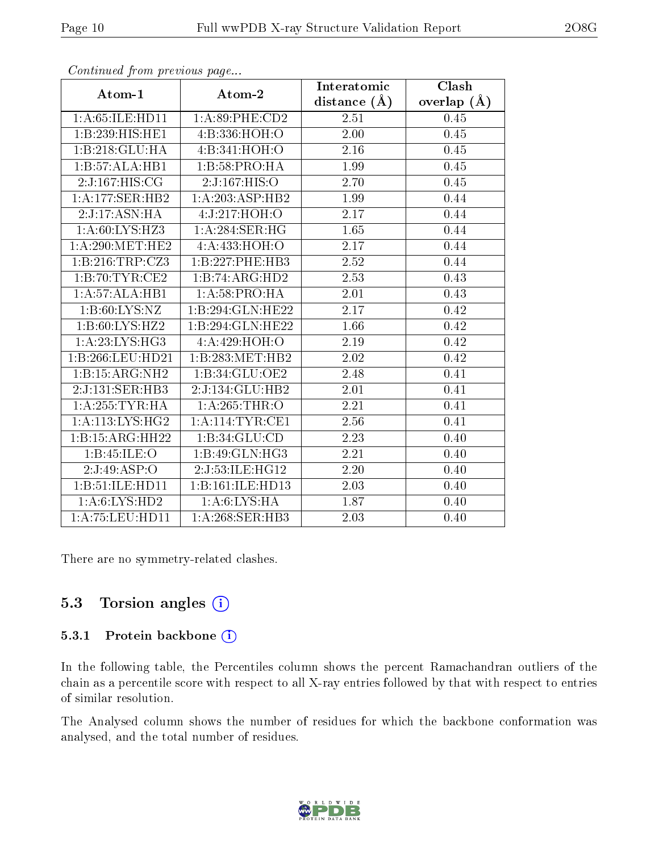| o o heerewow promo process was payonn |                   | Interatomic       | $\overline{\text{Clash}}$ |
|---------------------------------------|-------------------|-------------------|---------------------------|
| Atom-1                                | Atom-2            | distance $(A)$    | overlap $(A)$             |
| 1:A:65:ILE:HD11                       | 1:A:89:PHE:CD2    | 2.51              | 0.45                      |
| 1:B:239:HIS:HEL                       | 4:B:336:HOH:O     | $\overline{2.00}$ | 0.45                      |
| 1:B:218:GLU:HA                        | 4:B:341:HOH:O     | 2.16              | 0.45                      |
| 1:B:57:ALA:HB1                        | 1:B:58:PRO:HA     | 1.99              | 0.45                      |
| 2:J:167:HIS:CG                        | 2:J:167:HIS:O     | 2.70              | 0.45                      |
| 1: A: 177: SER: HB2                   | 1:A:203:ASP:HB2   | 1.99              | 0.44                      |
| 2:J:17:ASN:H                          | 4:J:217:HOH:O     | $2.\overline{17}$ | 0.44                      |
| 1: A:60: LYS:HZ3                      | 1: A:284: SER: HG | 1.65              | 0.44                      |
| 1: A:290:MET:HE2                      | 4: A: 433: HOH: O | 2.17              | 0.44                      |
| 1:B:216:TRP:CZ3                       | 1:B:227:PHE:HB3   | 2.52              | 0.44                      |
| 1:B:70:TYR:CE2                        | 1:B:74:ARG:HD2    | 2.53              | 0.43                      |
| 1:A:57:ALA:HB1                        | 1:A:58:PRO:HA     | 2.01              | 0.43                      |
| 1: B:60: LYS: NZ                      | 1:B:294:GLN:HE22  | 2.17              | 0.42                      |
| 1:B:60:LYS:HZ2                        | 1:B:294:GLN:HE22  | 1.66              | 0.42                      |
| 1:A:23:LYS:HG3                        | 4:A:429:HOH:O     | 2.19              | 0.42                      |
| 1:B:266:LEU:HD21                      | 1:B:283:MET:HB2   | 2.02              | 0.42                      |
| 1:B:15:ARG:NH2                        | 1:B:34:GLU:OE2    | 2.48              | 0.41                      |
| 2:J:131:SER:HB3                       | 2:J:134:GLU:HB2   | 2.01              | 0.41                      |
| 1: A:255:TYR:HA                       | 1: A:265:THR:O    | 2.21              | 0.41                      |
| 1: A:113: LYS:HG2                     | 1: A:114:TYR:CE1  | 2.56              | 0.41                      |
| 1:B:15:ARG:HH22                       | 1:B:34:GLU:CD     | 2.23              | 0.40                      |
| 1:Bi:45:ILE:O                         | 1:B:49:GLN:HG3    | 2.21              | 0.40                      |
| 2:J:49:ASP:O                          | 2:J:53:ILE:HG12   | 2.20              | 0.40                      |
| 1:B:51:ILE:HD11                       | 1:B:161:ILE:HD13  | 2.03              | 0.40                      |
| 1: A:6: LYS: HD2                      | 1: A:6: LYS: HA   | 1.87              | 0.40                      |
| 1:A:75:LEU:HDI1                       | 1:A:268:SER:HB3   | 2.03              | 0.40                      |

There are no symmetry-related clashes.

### 5.3 Torsion angles (i)

#### 5.3.1 Protein backbone (i)

In the following table, the Percentiles column shows the percent Ramachandran outliers of the chain as a percentile score with respect to all X-ray entries followed by that with respect to entries of similar resolution.

The Analysed column shows the number of residues for which the backbone conformation was analysed, and the total number of residues.

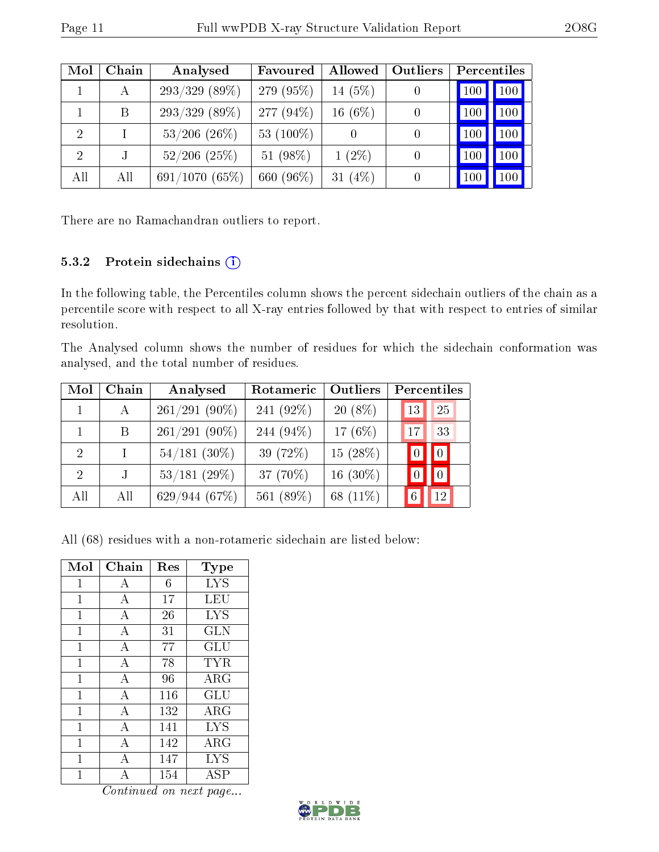| Mol            | Chain | Analysed          | Favoured     | Allowed    | <b>Outliers</b> | Percentiles             |
|----------------|-------|-------------------|--------------|------------|-----------------|-------------------------|
|                | А     | $293/329$ (89\%)  | 279 (95%)    | 14 $(5%)$  |                 | 100<br>100              |
|                | B     | $293/329$ (89\%)  | 277 $(94\%)$ | 16(6%)     |                 | 100 <sub>1</sub><br>100 |
| $\overline{2}$ |       | $53/206$ $(26\%)$ | 53 $(100\%)$ |            | $\theta$        | $100\,$                 |
| 2              |       | $52/206$ $(25%)$  | 51 $(98\%)$  | $1(2\%)$   | 0               | 100<br>$100\,$          |
| All            | All   | 691/1070(65%)     | 660 (96%)    | 31 $(4\%)$ |                 |                         |

There are no Ramachandran outliers to report.

### 5.3.2 Protein sidechains (i)

In the following table, the Percentiles column shows the percent sidechain outliers of the chain as a percentile score with respect to all X-ray entries followed by that with respect to entries of similar resolution.

The Analysed column shows the number of residues for which the sidechain conformation was analysed, and the total number of residues.

| Mol                         | Chain   | Analysed        | Rotameric    | Outliers    | Percentiles |             |
|-----------------------------|---------|-----------------|--------------|-------------|-------------|-------------|
|                             | A       | $261/291(90\%)$ | 241 $(92\%)$ | $20(8\%)$   | 13          | 25          |
|                             | B       | $261/291(90\%)$ | 244 (94\%)   | 17 $(6%)$   | 17          | 33          |
| $\mathcal{D}_{\mathcal{L}}$ | L       | $54/181$ (30%)  | 39 (72%)     | $15(28\%)$  |             | $\boxed{0}$ |
| $\mathcal{D}_{\mathcal{L}}$ | $\cdot$ | 53/181(29%)     | 37 $(70\%)$  | 16 $(30\%)$ |             |             |
| All                         | All     | 629/944(67%)    | 561 (89%)    | 68 (11\%)   |             | 12          |

All (68) residues with a non-rotameric sidechain are listed below:

| Mol          | Chain          | Res | Type                 |
|--------------|----------------|-----|----------------------|
| 1            | А              | 6   | <b>LYS</b>           |
| $\mathbf{1}$ | $\bf{A}$       | 17  | LEU                  |
| 1            | А              | 26  | <b>LYS</b>           |
| 1            | А              | 31  | GLN                  |
| 1            | $\overline{A}$ | 77  | $\operatorname{GLU}$ |
| 1            | А              | 78  | TYR                  |
| 1            | А              | 96  | $\rm{ARG}$           |
| 1            | $\overline{A}$ | 116 | $\operatorname{GLU}$ |
| 1            | A              | 132 | $\rm{ARG}$           |
| 1            | А              | 141 | <b>LYS</b>           |
| 1            | A              | 142 | ARG                  |
| 1            | А              | 147 | <b>LYS</b>           |
|              |                | 154 | ASP                  |

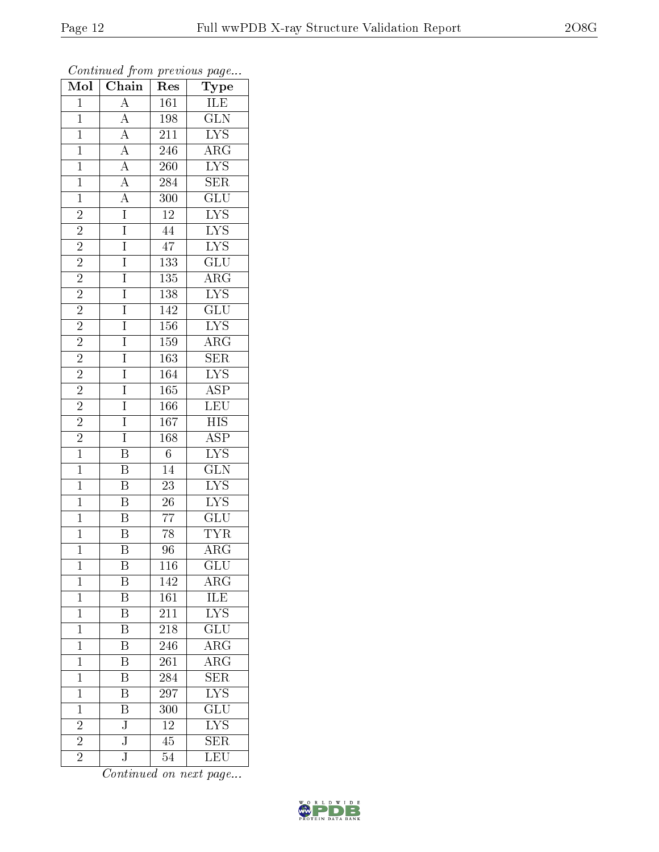| Mol            | Chain                                                                   | $\mathbf{r}$ . $\sim$<br>Res | $r \sim 3$<br>Type                         |
|----------------|-------------------------------------------------------------------------|------------------------------|--------------------------------------------|
| $\mathbf{1}$   | $\overline{A}$                                                          | $\overline{161}$             | ILE                                        |
| $\overline{1}$ | $\overline{A}$                                                          | 198                          | $\overline{\text{GLN}}$                    |
| $\overline{1}$ |                                                                         | 211                          | $\overline{\text{LYS}}$                    |
| $\mathbf{1}$   |                                                                         | 246                          | $\overline{\rm{ARG}}$                      |
| $\overline{1}$ | $\frac{\overline{A}}{\overline{A}}$ $\frac{\overline{A}}{\overline{A}}$ | $\overline{26}0$             | $\overline{\text{LYS}}$                    |
| $\overline{1}$ |                                                                         | 284                          | $\overline{\text{SER}}$                    |
| $\overline{1}$ | $\overline{A}$                                                          | 300                          | $\overline{{\rm GLU}}$                     |
| $\overline{2}$ | $\overline{I}$                                                          | $\overline{12}$              | $\frac{\overline{\text{LYS}}}{\text{LYS}}$ |
|                | $\overline{I}$                                                          | $\overline{44}$              |                                            |
| $\frac{2}{2}$  | $\overline{I}$                                                          | $\overline{47}$              | $\overline{\text{LYS}}$                    |
| $\overline{2}$ | $\overline{I}$                                                          | $\overline{133}$             | GLU                                        |
| $\overline{2}$ | $\overline{I}$                                                          | $\overline{135}$             | $\overline{\rm{ARG}}$                      |
| $\overline{2}$ | $\overline{I}$                                                          | $\overline{138}$             | $\overline{\text{LYS}}$                    |
| $\overline{2}$ | $\overline{I}$                                                          | 142                          | $\overline{\text{GLU}}$                    |
| $\overline{2}$ | $\overline{I}$                                                          | 156                          | $\overline{\text{LYS}}$                    |
| $\overline{2}$ | $\overline{I}$                                                          | 159                          | $\overline{\rm{ARG}}$                      |
| $\overline{2}$ | $\overline{I}$                                                          | 163                          | $\overline{\text{SER}}$                    |
| $\overline{c}$ | $\overline{I}$                                                          | 164                          | $\overline{\text{LYS}}$                    |
| $\overline{2}$ | $\overline{I}$                                                          | 165                          | $\overline{\text{ASP}}$                    |
| $\overline{2}$ | $\overline{I}$                                                          | 166                          | $\overline{\text{LEU}}$                    |
| $\overline{2}$ | $\overline{I}$                                                          | $\overline{167}$             | $\overline{HIS}$                           |
| $\overline{2}$ | $\overline{I}$                                                          | $\overline{168}$             | $\overline{\text{ASP}}$                    |
| $\overline{1}$ | $\overline{\mathrm{B}}$                                                 | $\overline{6}$               | $\overline{\rm LYS}$                       |
| $\overline{1}$ | $\overline{\mathrm{B}}$                                                 | $\overline{14}$              | $\overline{\text{GLN}}$                    |
| $\overline{1}$ | $\overline{\mathbf{B}}$                                                 | $\overline{23}$              | $\overline{\text{LYS}}$                    |
| $\overline{1}$ | $\overline{\mathrm{B}}$                                                 | $\overline{26}$              | $LYS$                                      |
| $\overline{1}$ | $\overline{\mathrm{B}}$                                                 | $\overline{77}$              | $\overline{\text{GLU}}$                    |
| $\overline{1}$ | $\overline{\mathrm{B}}$                                                 | 78                           | <b>TYR</b>                                 |
| $\overline{1}$ | $\overline{\mathbf{B}}$                                                 | 96                           | $\overline{\rm{ARG}}$                      |
| 1              | Β                                                                       | 116                          | $_{\rm GLU}$                               |
| $\mathbf 1$    | B                                                                       | 142                          | $\rm{ARG}$                                 |
| $\mathbf{1}$   | $\overline{\mathrm{B}}$                                                 | 161                          | <b>ILE</b>                                 |
| $\mathbf{1}$   | $\, {\bf B}$                                                            | 211                          | $\overline{\text{LYS}}$                    |
| $\overline{1}$ | $\overline{\mathrm{B}}$                                                 | 218                          | $\overline{\text{GLU}}$                    |
| $\mathbf{1}$   | B                                                                       | 246                          | $\overline{\rm{ARG}}$                      |
| $\overline{1}$ | $\overline{\mathrm{B}}$                                                 | $\overline{261}$             | $\overline{\rm ARG}$                       |
| $\mathbf 1$    | Β                                                                       | 284                          | $\overline{\text{SER}}$                    |
| $\mathbf 1$    | B                                                                       | 297                          | $\overline{\text{LYS}}$                    |
| $\mathbf 1$    | $\overline{\mathrm{B}}$                                                 | 300                          | GLU                                        |
| $\overline{2}$ | $\overline{\text{J}}$                                                   | $\overline{12}$              | $\overline{\text{LYS}}$                    |
| $\overline{2}$ | $\overline{\text{J}}$                                                   | 45                           | $\overline{\text{SER}}$                    |
| $\overline{2}$ | $\overline{\mathbf{J}}$                                                 | 54                           | LEU                                        |

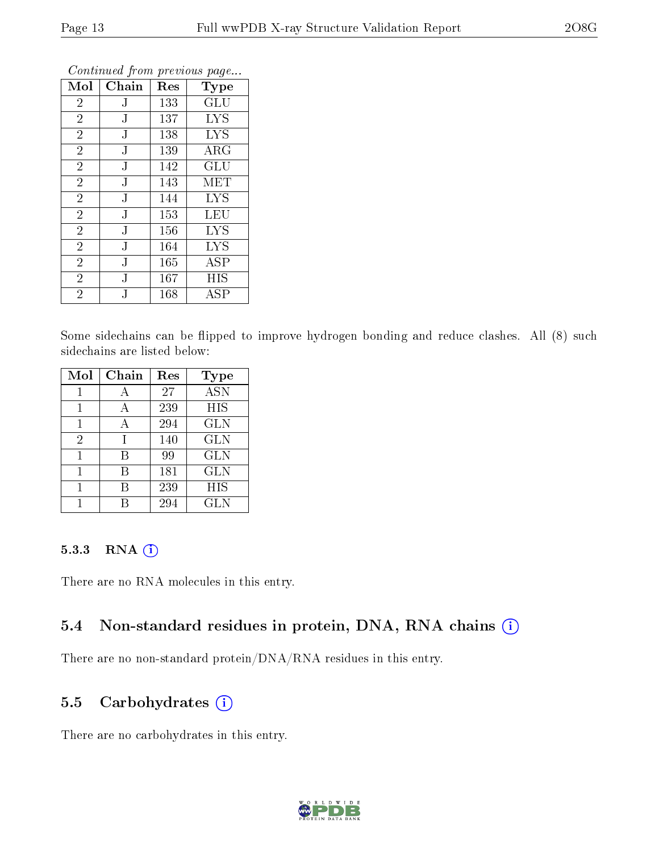|                |           | ×.  | ÷.<br>ັ     |
|----------------|-----------|-----|-------------|
| Mol            | Chain     | Res | Type        |
| $\overline{2}$ | J         | 133 | GLU         |
| $\overline{2}$ | J         | 137 | <b>LYS</b>  |
| $\overline{2}$ | J         | 138 | <b>LYS</b>  |
| $\overline{2}$ | J         | 139 | $\rm{ARG}$  |
| $\overline{2}$ | ${\bf J}$ | 142 | GLU         |
| $\overline{2}$ | J         | 143 | MET         |
| $\overline{2}$ | ${\bf J}$ | 144 | <b>LYS</b>  |
| $\overline{2}$ | ${\bf J}$ | 153 | LEU         |
| $\overline{2}$ | ${\bf J}$ | 156 | <b>LYS</b>  |
| $\overline{2}$ | J         | 164 | <b>LYS</b>  |
| $\overline{2}$ | J         | 165 | ASP         |
| $\overline{2}$ | ${\bf J}$ | 167 | HIS         |
| $\overline{2}$ | J         | 168 | ${\rm ASP}$ |

Some sidechains can be flipped to improve hydrogen bonding and reduce clashes. All (8) such sidechains are listed below:

| Mol | Chain | Res | <b>Type</b> |
|-----|-------|-----|-------------|
|     |       | 27  | <b>ASN</b>  |
| 1   | А     | 239 | HIS         |
| 1   | А     | 294 | <b>GLN</b>  |
| 2   |       | 140 | <b>GLN</b>  |
|     | B     | 99  | <b>GLN</b>  |
|     | В     | 181 | <b>GLN</b>  |
|     | В     | 239 | HIS         |
|     |       | 294 | GLN         |

#### 5.3.3 RNA (1)

There are no RNA molecules in this entry.

### 5.4 Non-standard residues in protein, DNA, RNA chains (i)

There are no non-standard protein/DNA/RNA residues in this entry.

### 5.5 Carbohydrates  $(i)$

There are no carbohydrates in this entry.

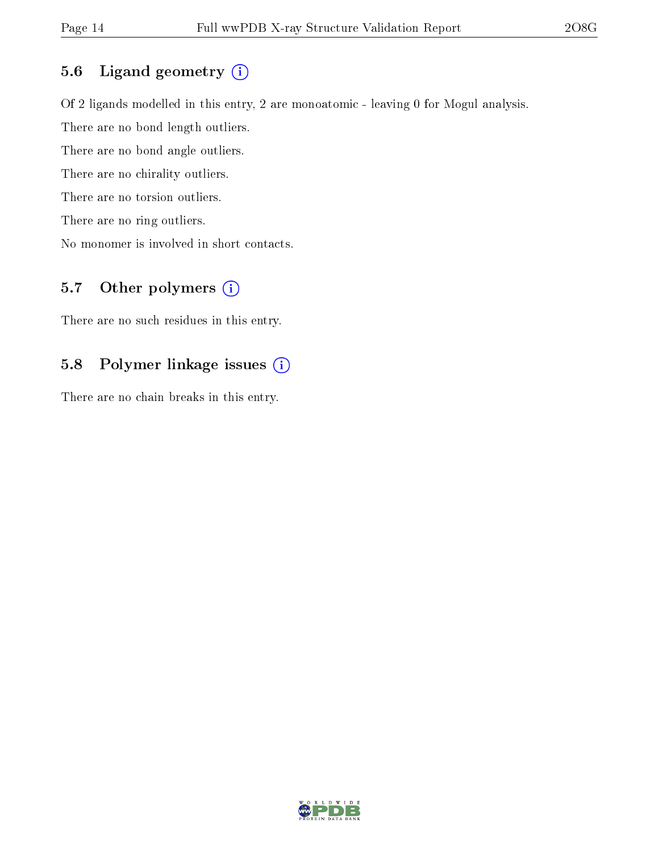### 5.6 Ligand geometry (i)

Of 2 ligands modelled in this entry, 2 are monoatomic - leaving 0 for Mogul analysis. There are no bond length outliers. There are no bond angle outliers. There are no chirality outliers. There are no torsion outliers. There are no ring outliers. No monomer is involved in short contacts.

### 5.7 [O](https://www.wwpdb.org/validation/2017/XrayValidationReportHelp#nonstandard_residues_and_ligands)ther polymers  $(i)$

There are no such residues in this entry.

### 5.8 Polymer linkage issues (i)

There are no chain breaks in this entry.

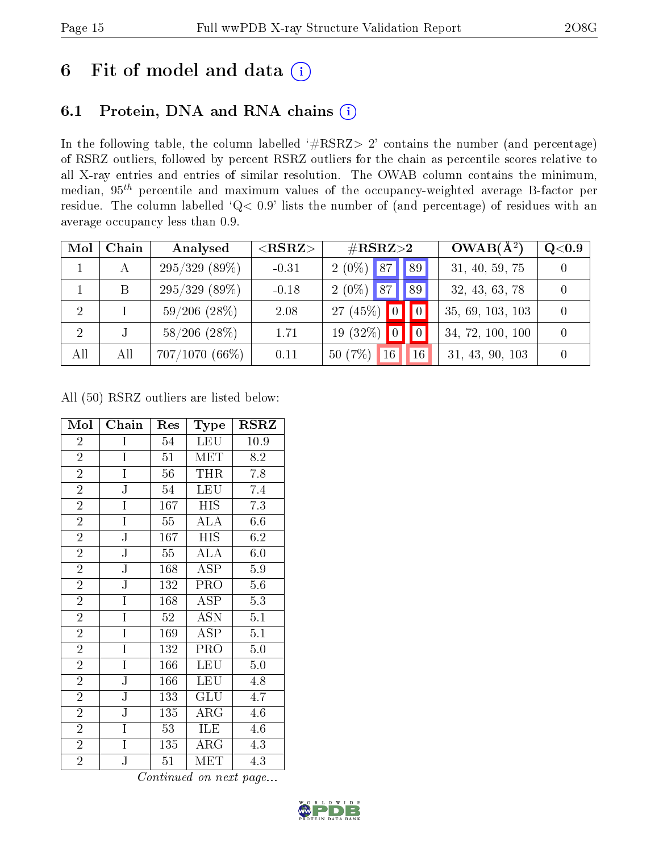# 6 Fit of model and data  $(i)$

# 6.1 Protein, DNA and RNA chains  $(i)$

In the following table, the column labelled  $#RSRZ> 2'$  contains the number (and percentage) of RSRZ outliers, followed by percent RSRZ outliers for the chain as percentile scores relative to all X-ray entries and entries of similar resolution. The OWAB column contains the minimum, median,  $95<sup>th</sup>$  percentile and maximum values of the occupancy-weighted average B-factor per residue. The column labelled ' $Q< 0.9$ ' lists the number of (and percentage) of residues with an average occupancy less than 0.9.

| Mol            | Chain | Analysed          | ${ <\hspace{-1.5pt}{\mathrm{RSRZ}} \hspace{-1.5pt}>}$ | $\#\text{RSRZ}{>}2$                        | $OWAB(A^2)$      | Q <sub>0.9</sub> |
|----------------|-------|-------------------|-------------------------------------------------------|--------------------------------------------|------------------|------------------|
| $\mathbf{1}$   | А     | 295/329(89%)      | $-0.31$                                               | 89<br>$2(0\%)$<br>87                       | 31, 40, 59, 75   |                  |
|                | B     | $295/329(89\%)$   | $-0.18$                                               | $2(0\%)$ 87<br>89                          | 32, 43, 63, 78   |                  |
| 2              |       | $59/206$ $(28\%)$ | 2.08                                                  | 27 (45%)<br>$\boldsymbol{0}$               | 35, 69, 103, 103 |                  |
| $\overline{2}$ |       | $58/206$ $(28\%)$ | 1.71                                                  | (32%)<br>$\theta$<br>19<br>$\vert 0 \vert$ | 34, 72, 100, 100 | $\theta$         |
| All            | All   | $707/1070(66\%)$  | 0.11                                                  | $(7\%$<br>16<br>16<br>50 <sub>0</sub>      | 31, 43, 90, 103  | $\theta$         |

All (50) RSRZ outliers are listed below:

| Mol            | Chain                 | Res | Type        | $_{\rm RSRZ}$ |
|----------------|-----------------------|-----|-------------|---------------|
| $\overline{2}$ | I                     | 54  | <b>LEU</b>  | 10.9          |
| $\overline{2}$ | $\mathbf I$           | 51  | MET         | 8.2           |
| $\overline{2}$ | I                     | 56  | <b>THR</b>  | 7.8           |
| $\overline{2}$ | ${\bf J}$             | 54  | <b>LEU</b>  | 7.4           |
| $\overline{2}$ | $\overline{I}$        | 167 | <b>HIS</b>  | 7.3           |
| $\overline{2}$ | $\overline{I}$        | 55  | <b>ALA</b>  | 6.6           |
| $\overline{2}$ | $_{\rm J}$            | 167 | <b>HIS</b>  | 6.2           |
| $\overline{2}$ | $\overline{\text{J}}$ | 55  | <b>ALA</b>  | 6.0           |
| $\overline{2}$ | $\mathbf J$           | 168 | ASP         | 5.9           |
| $\overline{2}$ | $\overline{\text{J}}$ | 132 | PRO         | $5.6\,$       |
| $\overline{2}$ | $\overline{I}$        | 168 | ASP         | 5.3           |
| $\overline{2}$ | Ī                     | 52  | ASN         | 5.1           |
| $\overline{2}$ | I                     | 169 | <b>ASP</b>  | 5.1           |
| $\overline{2}$ | I                     | 132 | PRO         | $5.0\,$       |
| $\overline{2}$ | I                     | 166 | LEU         | 5.0           |
| $\overline{2}$ | ${\bf J}$             | 166 | <b>LEU</b>  | 4.8           |
| $\overline{2}$ | $\overline{\text{J}}$ | 133 | GLU         | 4.7           |
| $\overline{2}$ | $\mathbf J$           | 135 | ${\rm ARG}$ | 4.6           |
| $\overline{2}$ | I                     | 53  | ILE         | 4.6           |
| $\overline{2}$ | $\mathbf I$           | 135 | $\rm{ARG}$  | 4.3           |
| $\overline{2}$ | J                     | 51  | <b>MET</b>  | 4.3           |

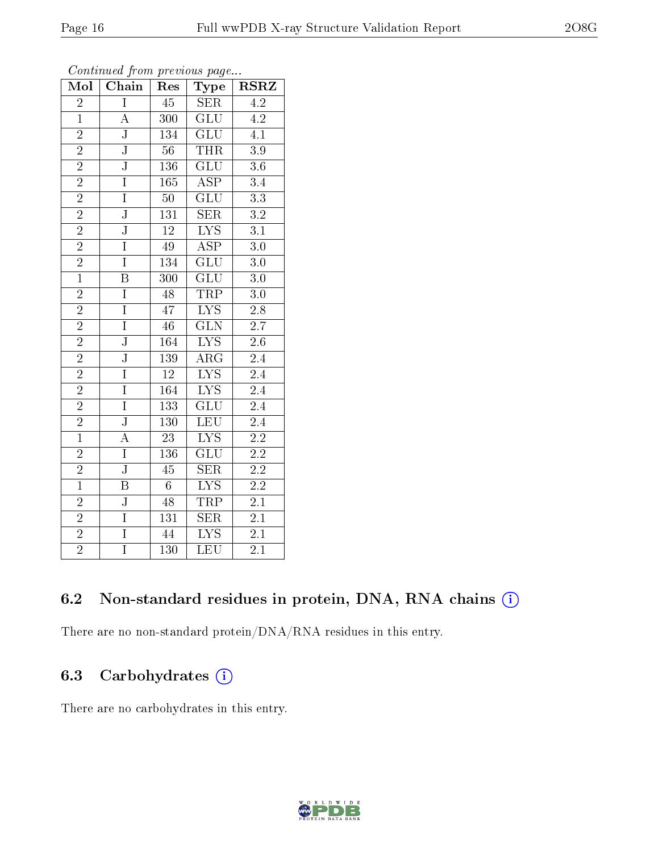| Mol            | Chain                   | Res              | Type                    | <b>RSRZ</b>      |
|----------------|-------------------------|------------------|-------------------------|------------------|
| $\overline{2}$ | $\overline{I}$          | $\overline{45}$  | SER                     | $\overline{4.2}$ |
| $\mathbf{1}$   | A                       | 300              | $\overline{\text{GLU}}$ | 4.2              |
| $\overline{2}$ | $\overline{\rm J}$      | 134              | $\overline{{\rm GLU}}$  | $\overline{4.1}$ |
| $\overline{2}$ | $\overline{\text{J}}$   | $\overline{56}$  | <b>THR</b>              | $3.9\,$          |
| $\overline{2}$ | $\overline{\text{J}}$   | <b>136</b>       | $\overline{\text{GLU}}$ | $\overline{3.6}$ |
| $\overline{2}$ | $\overline{I}$          | 165              | <b>ASP</b>              | $\overline{3.4}$ |
| $\overline{2}$ | $\overline{I}$          | $\overline{50}$  | $\overline{\text{GLU}}$ | $\overline{3.3}$ |
| $\overline{2}$ | $\overline{\text{J}}$   | 131              | SER                     | $\overline{3.2}$ |
| $\overline{2}$ | J                       | 12               | $\overline{\text{LYS}}$ | 3.1              |
| $\overline{2}$ | $\overline{I}$          | $\overline{49}$  | $\overline{\text{ASP}}$ | $\overline{3.0}$ |
| $\overline{2}$ | $\overline{I}$          | 134              | GLU                     | $3.0\,$          |
| $\overline{1}$ | $\overline{\mathrm{B}}$ | $\overline{300}$ | $\overline{\text{GLU}}$ | $\overline{3.0}$ |
| $\overline{2}$ | I                       | $\overline{48}$  | <b>TRP</b>              | $\overline{3.0}$ |
| $\overline{2}$ | $\overline{I}$          | 47               | $\overline{\text{LYS}}$ | 2.8              |
| $\overline{2}$ | $\overline{I}$          | $\overline{46}$  | $\overline{\text{GLN}}$ | $\overline{2.7}$ |
| $\overline{2}$ | J                       | 164              | $\overline{\text{LYS}}$ | $2.6\,$          |
| $\overline{2}$ | $\overline{\text{J}}$   | 139              | $\overline{\rm{ARG}}$   | $\overline{2.4}$ |
| $\overline{2}$ | I                       | 12               | $\overline{LYS}$        | 2.4              |
| $\overline{2}$ | $\overline{I}$          | 164              | $\overline{\text{LYS}}$ | $\overline{2.4}$ |
| $\overline{2}$ | $\overline{I}$          | 133              | GLU                     | $\overline{2.4}$ |
| $\overline{2}$ | $\overline{\text{J}}$   | 130              | <b>LEU</b>              | $2.4\,$          |
| $\overline{1}$ | $\overline{\rm A}$      | $\overline{23}$  | $\overline{\text{LYS}}$ | $\overline{2.2}$ |
| $\overline{2}$ | $\mathbf I$             | 136              | GLU                     | $2.2\,$          |
| $\overline{2}$ | $\overline{\text{J}}$   | $\overline{45}$  | $\overline{\text{SER}}$ | $\overline{2.2}$ |
| $\overline{1}$ | Β                       | $\overline{6}$   | <b>LYS</b>              | $2.2\,$          |
| $\overline{2}$ | $\overline{\text{J}}$   | $\overline{48}$  | TRP                     | 2.1              |
| $\overline{2}$ | $\overline{I}$          | 131              | $\overline{\text{SER}}$ | 2.1              |
| $\overline{2}$ | $\overline{I}$          | 44               | $\overline{\rm LYS}$    | 2.1              |
| $\overline{2}$ | $\overline{I}$          | 130              | $\overline{\text{LEU}}$ | $\overline{2.1}$ |

# 6.2 Non-standard residues in protein, DNA, RNA chains (i)

There are no non-standard protein/DNA/RNA residues in this entry.

### 6.3 Carbohydrates  $(i)$

There are no carbohydrates in this entry.